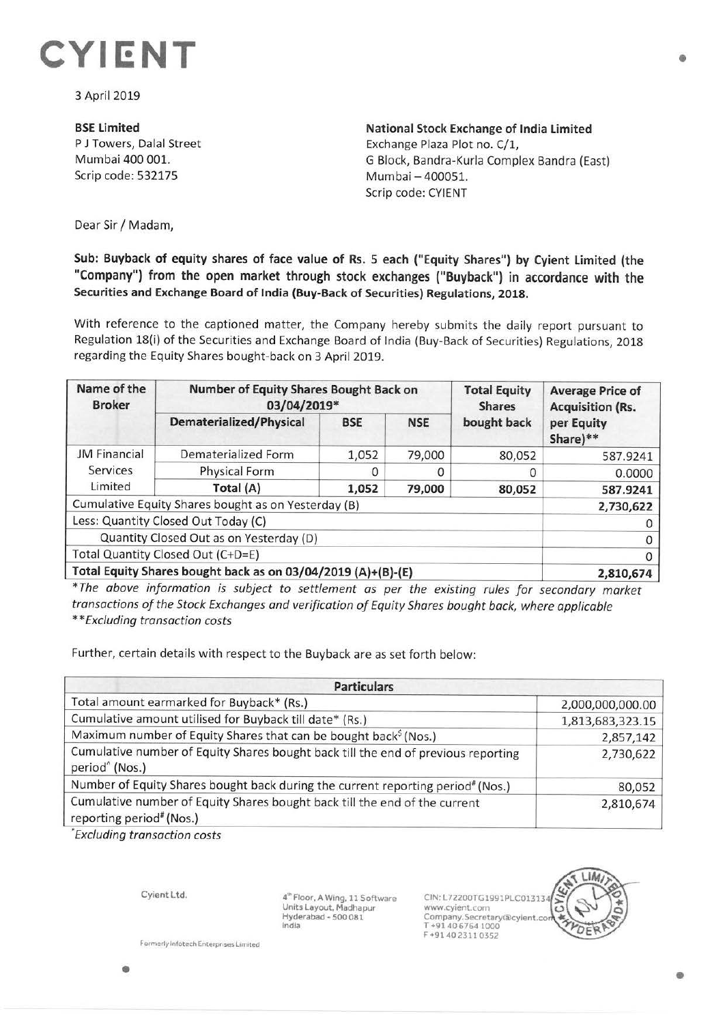

3 April 2019

**BSE Limited**  P J Towers, Dalal Street Mumbai 400 001. Scrip code: 532175

**National Stock Exchange of India Limited**  Exchange Plaza Plot no. C/1, G Block, Bandra-Kurla Complex Sandra (East) Mumbai - 400051. Scrip code: CYIENT

Dear Sir/ Madam,

**Sub: Buyback of equity shares of face value of Rs. 5 each ("Equity Shares") by Cyient Limited (the "Company") from the open market through stock exchanges ("Buyback") in accordance with the Securities and Exchange Board of India (Buy-Back of Securities) Regulations, 2018.** 

With reference to the captioned matter, the Company hereby submits the daily report pursuant to Regulation 18(i) of the Securities and Exchange Board of India (Buy-Back of Securities) Regulations, 2018 regarding the Equity Shares bought-back on 3 April 2019.

| Name of the<br><b>Broker</b>                                 | Number of Equity Shares Bought Back on<br>03/04/2019* |            |            | <b>Total Equity</b><br><b>Shares</b> | <b>Average Price of</b><br><b>Acquisition (Rs.</b> |
|--------------------------------------------------------------|-------------------------------------------------------|------------|------------|--------------------------------------|----------------------------------------------------|
|                                                              | <b>Dematerialized/Physical</b>                        | <b>BSE</b> | <b>NSE</b> | bought back                          | per Equity<br>Share)**                             |
| <b>JM Financial</b><br>Services<br>Limited                   | Dematerialized Form                                   | 1,052      | 79,000     | 80,052                               | 587.9241                                           |
|                                                              | Physical Form                                         |            |            |                                      | 0.0000                                             |
|                                                              | Total (A)                                             | 1,052      | 79,000     | 80,052                               | 587.9241                                           |
| Cumulative Equity Shares bought as on Yesterday (B)          |                                                       |            |            |                                      | 2,730,622                                          |
| Less: Quantity Closed Out Today (C)                          |                                                       |            |            |                                      |                                                    |
| Quantity Closed Out as on Yesterday (D)                      |                                                       |            |            |                                      | 0                                                  |
| Total Quantity Closed Out (C+D=E)                            |                                                       |            |            |                                      | 0                                                  |
| Total Equity Shares bought back as on 03/04/2019 (A)+(B)-(E) |                                                       |            |            |                                      | 2,810,674                                          |

\* *The above information is subject to settlement as per the existing rules for secondary market transactions of the Stock Exchanges and verification of Equity Shares bought back, where applicable \*\*Excluding transaction costs* 

Further, certain details with respect to the Buyback are as set forth below:

| <b>Particulars</b>                                                                                                 |                  |  |  |  |
|--------------------------------------------------------------------------------------------------------------------|------------------|--|--|--|
| Total amount earmarked for Buyback* (Rs.)                                                                          | 2,000,000,000.00 |  |  |  |
| Cumulative amount utilised for Buyback till date* (Rs.)                                                            | 1,813,683,323.15 |  |  |  |
| Maximum number of Equity Shares that can be bought back <sup>\$</sup> (Nos.)                                       | 2,857,142        |  |  |  |
| Cumulative number of Equity Shares bought back till the end of previous reporting<br>period <sup>^</sup> (Nos.)    | 2,730,622        |  |  |  |
| Number of Equity Shares bought back during the current reporting period" (Nos.)                                    | 80,052           |  |  |  |
| Cumulative number of Equity Shares bought back till the end of the current<br>reporting period <sup>#</sup> (Nos.) | 2,810,674        |  |  |  |

*'Excluding transaction costs* 

•

Cyient Ltd.

 $4<sup>w</sup>$  Floor, A Wing, 11 Software **Units Layout, Madhapur Hyderabad** - **500 081 India** 

CIN:L72200TG1991PLC01313 www.cyient.com Company.Secretary®cylent.co T +91406764 1000 F +9140 2311 0352

**Formerly Info tech Enterprises Limited**